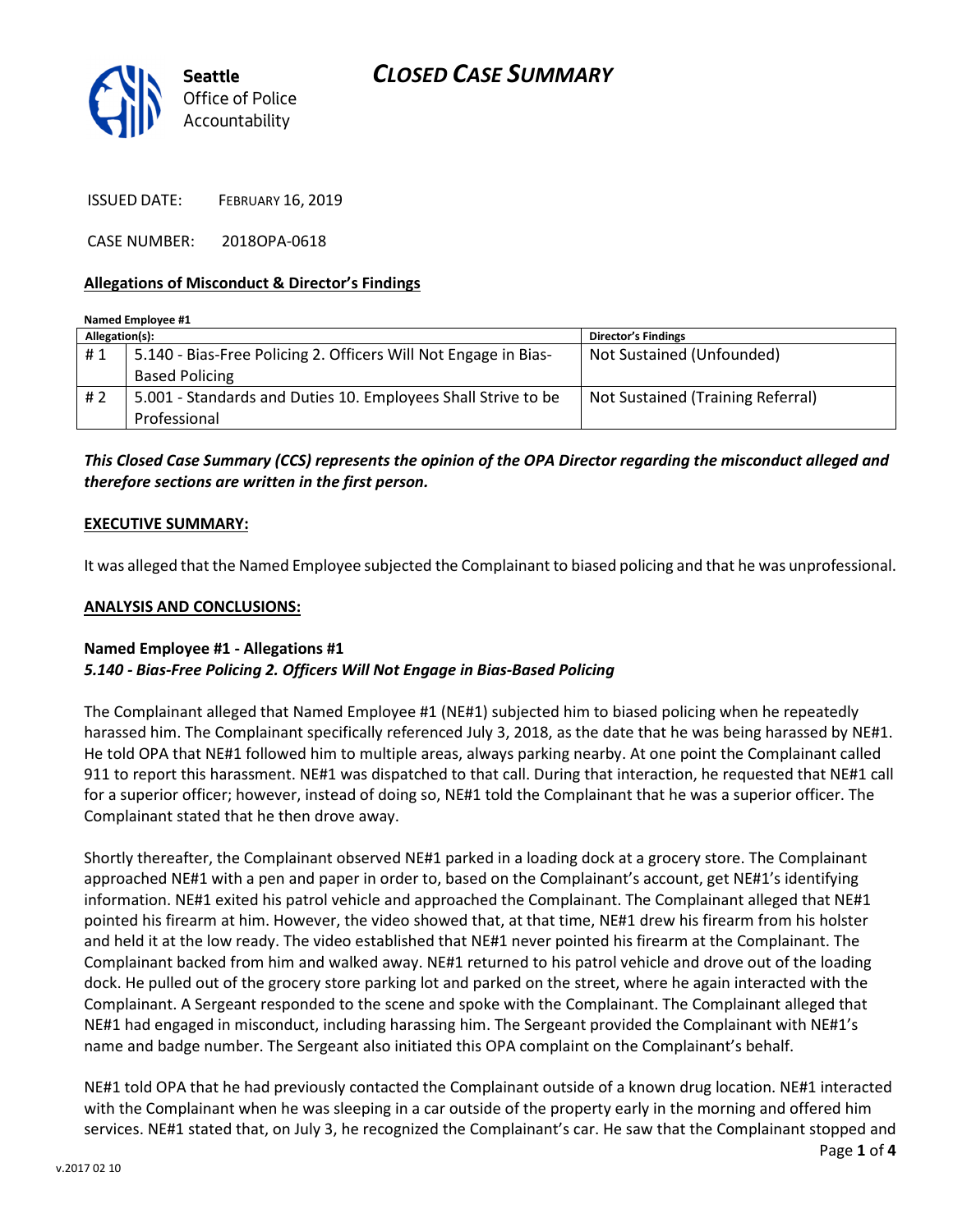



ISSUED DATE: FEBRUARY 16, 2019

CASE NUMBER: 2018OPA-0618

#### Allegations of Misconduct & Director's Findings

| Named Employee #1 |                                                                 |                                   |
|-------------------|-----------------------------------------------------------------|-----------------------------------|
| Allegation(s):    |                                                                 | <b>Director's Findings</b>        |
| #1                | 5.140 - Bias-Free Policing 2. Officers Will Not Engage in Bias- | Not Sustained (Unfounded)         |
|                   | <b>Based Policing</b>                                           |                                   |
| # 2               | 5.001 - Standards and Duties 10. Employees Shall Strive to be   | Not Sustained (Training Referral) |
|                   | Professional                                                    |                                   |

This Closed Case Summary (CCS) represents the opinion of the OPA Director regarding the misconduct alleged and therefore sections are written in the first person.

#### EXECUTIVE SUMMARY:

It was alleged that the Named Employee subjected the Complainant to biased policing and that he was unprofessional.

#### ANALYSIS AND CONCLUSIONS:

#### Named Employee #1 - Allegations #1 5.140 - Bias-Free Policing 2. Officers Will Not Engage in Bias-Based Policing

The Complainant alleged that Named Employee #1 (NE#1) subjected him to biased policing when he repeatedly harassed him. The Complainant specifically referenced July 3, 2018, as the date that he was being harassed by NE#1. He told OPA that NE#1 followed him to multiple areas, always parking nearby. At one point the Complainant called 911 to report this harassment. NE#1 was dispatched to that call. During that interaction, he requested that NE#1 call for a superior officer; however, instead of doing so, NE#1 told the Complainant that he was a superior officer. The Complainant stated that he then drove away.

Shortly thereafter, the Complainant observed NE#1 parked in a loading dock at a grocery store. The Complainant approached NE#1 with a pen and paper in order to, based on the Complainant's account, get NE#1's identifying information. NE#1 exited his patrol vehicle and approached the Complainant. The Complainant alleged that NE#1 pointed his firearm at him. However, the video showed that, at that time, NE#1 drew his firearm from his holster and held it at the low ready. The video established that NE#1 never pointed his firearm at the Complainant. The Complainant backed from him and walked away. NE#1 returned to his patrol vehicle and drove out of the loading dock. He pulled out of the grocery store parking lot and parked on the street, where he again interacted with the Complainant. A Sergeant responded to the scene and spoke with the Complainant. The Complainant alleged that NE#1 had engaged in misconduct, including harassing him. The Sergeant provided the Complainant with NE#1's name and badge number. The Sergeant also initiated this OPA complaint on the Complainant's behalf.

NE#1 told OPA that he had previously contacted the Complainant outside of a known drug location. NE#1 interacted with the Complainant when he was sleeping in a car outside of the property early in the morning and offered him services. NE#1 stated that, on July 3, he recognized the Complainant's car. He saw that the Complainant stopped and

Page 1 of 4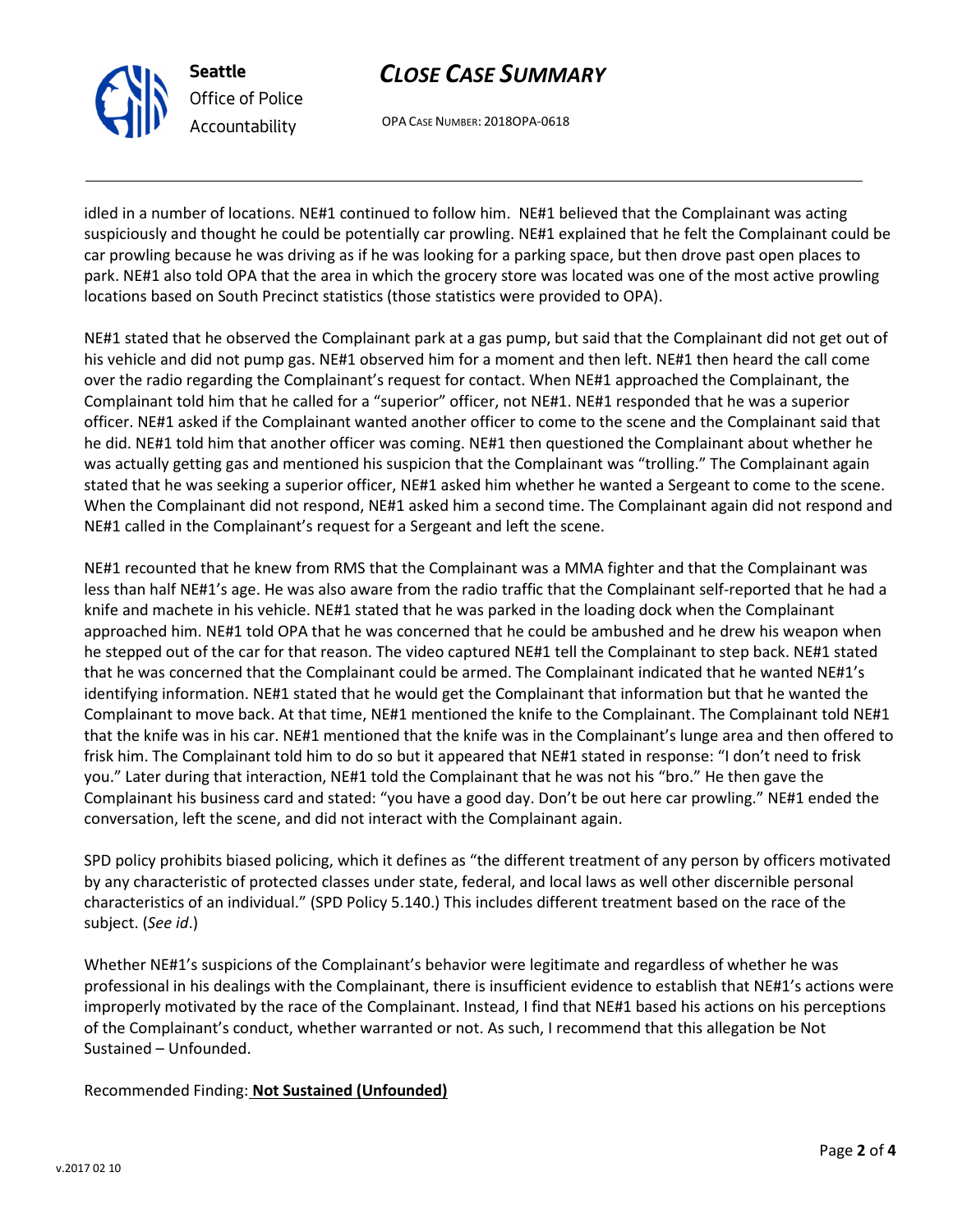## CLOSE CASE SUMMARY

OPA CASE NUMBER: 2018OPA-0618

idled in a number of locations. NE#1 continued to follow him. NE#1 believed that the Complainant was acting suspiciously and thought he could be potentially car prowling. NE#1 explained that he felt the Complainant could be car prowling because he was driving as if he was looking for a parking space, but then drove past open places to park. NE#1 also told OPA that the area in which the grocery store was located was one of the most active prowling locations based on South Precinct statistics (those statistics were provided to OPA).

NE#1 stated that he observed the Complainant park at a gas pump, but said that the Complainant did not get out of his vehicle and did not pump gas. NE#1 observed him for a moment and then left. NE#1 then heard the call come over the radio regarding the Complainant's request for contact. When NE#1 approached the Complainant, the Complainant told him that he called for a "superior" officer, not NE#1. NE#1 responded that he was a superior officer. NE#1 asked if the Complainant wanted another officer to come to the scene and the Complainant said that he did. NE#1 told him that another officer was coming. NE#1 then questioned the Complainant about whether he was actually getting gas and mentioned his suspicion that the Complainant was "trolling." The Complainant again stated that he was seeking a superior officer, NE#1 asked him whether he wanted a Sergeant to come to the scene. When the Complainant did not respond, NE#1 asked him a second time. The Complainant again did not respond and NE#1 called in the Complainant's request for a Sergeant and left the scene.

NE#1 recounted that he knew from RMS that the Complainant was a MMA fighter and that the Complainant was less than half NE#1's age. He was also aware from the radio traffic that the Complainant self-reported that he had a knife and machete in his vehicle. NE#1 stated that he was parked in the loading dock when the Complainant approached him. NE#1 told OPA that he was concerned that he could be ambushed and he drew his weapon when he stepped out of the car for that reason. The video captured NE#1 tell the Complainant to step back. NE#1 stated that he was concerned that the Complainant could be armed. The Complainant indicated that he wanted NE#1's identifying information. NE#1 stated that he would get the Complainant that information but that he wanted the Complainant to move back. At that time, NE#1 mentioned the knife to the Complainant. The Complainant told NE#1 that the knife was in his car. NE#1 mentioned that the knife was in the Complainant's lunge area and then offered to frisk him. The Complainant told him to do so but it appeared that NE#1 stated in response: "I don't need to frisk you." Later during that interaction, NE#1 told the Complainant that he was not his "bro." He then gave the Complainant his business card and stated: "you have a good day. Don't be out here car prowling." NE#1 ended the conversation, left the scene, and did not interact with the Complainant again.

SPD policy prohibits biased policing, which it defines as "the different treatment of any person by officers motivated by any characteristic of protected classes under state, federal, and local laws as well other discernible personal characteristics of an individual." (SPD Policy 5.140.) This includes different treatment based on the race of the subject. (See id.)

Whether NE#1's suspicions of the Complainant's behavior were legitimate and regardless of whether he was professional in his dealings with the Complainant, there is insufficient evidence to establish that NE#1's actions were improperly motivated by the race of the Complainant. Instead, I find that NE#1 based his actions on his perceptions of the Complainant's conduct, whether warranted or not. As such, I recommend that this allegation be Not Sustained – Unfounded.

Recommended Finding: Not Sustained (Unfounded)



Seattle

Office of Police Accountability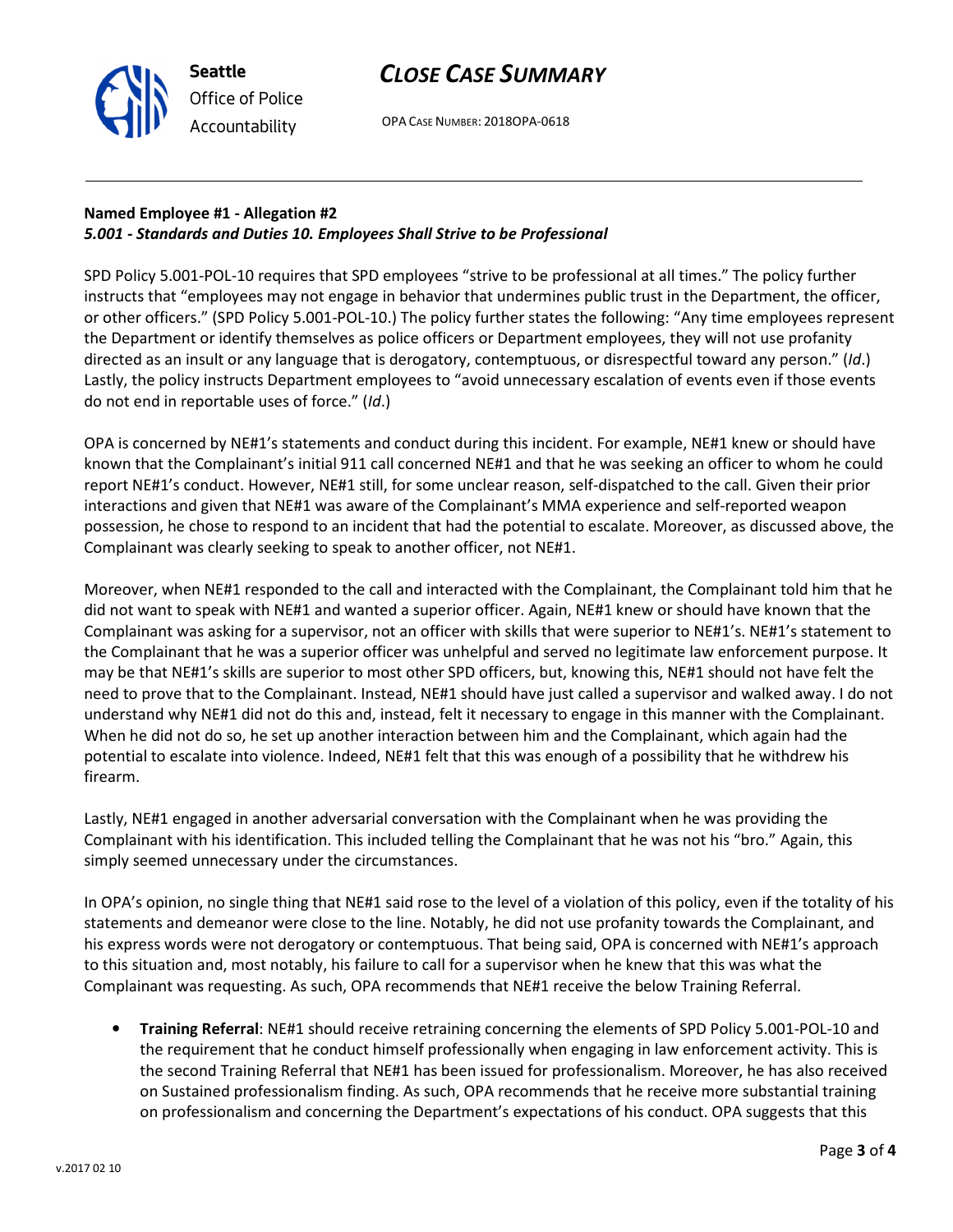

# Named Employee #1 - Allegation #2 5.001 - Standards and Duties 10. Employees Shall Strive to be Professional

Seattle

Office of Police Accountability

SPD Policy 5.001-POL-10 requires that SPD employees "strive to be professional at all times." The policy further instructs that "employees may not engage in behavior that undermines public trust in the Department, the officer, or other officers." (SPD Policy 5.001-POL-10.) The policy further states the following: "Any time employees represent

the Department or identify themselves as police officers or Department employees, they will not use profanity directed as an insult or any language that is derogatory, contemptuous, or disrespectful toward any person." (Id.) Lastly, the policy instructs Department employees to "avoid unnecessary escalation of events even if those events do not end in reportable uses of force." (Id.)

OPA is concerned by NE#1's statements and conduct during this incident. For example, NE#1 knew or should have known that the Complainant's initial 911 call concerned NE#1 and that he was seeking an officer to whom he could report NE#1's conduct. However, NE#1 still, for some unclear reason, self-dispatched to the call. Given their prior interactions and given that NE#1 was aware of the Complainant's MMA experience and self-reported weapon possession, he chose to respond to an incident that had the potential to escalate. Moreover, as discussed above, the Complainant was clearly seeking to speak to another officer, not NE#1.

Moreover, when NE#1 responded to the call and interacted with the Complainant, the Complainant told him that he did not want to speak with NE#1 and wanted a superior officer. Again, NE#1 knew or should have known that the Complainant was asking for a supervisor, not an officer with skills that were superior to NE#1's. NE#1's statement to the Complainant that he was a superior officer was unhelpful and served no legitimate law enforcement purpose. It may be that NE#1's skills are superior to most other SPD officers, but, knowing this, NE#1 should not have felt the need to prove that to the Complainant. Instead, NE#1 should have just called a supervisor and walked away. I do not understand why NE#1 did not do this and, instead, felt it necessary to engage in this manner with the Complainant. When he did not do so, he set up another interaction between him and the Complainant, which again had the potential to escalate into violence. Indeed, NE#1 felt that this was enough of a possibility that he withdrew his firearm.

Lastly, NE#1 engaged in another adversarial conversation with the Complainant when he was providing the Complainant with his identification. This included telling the Complainant that he was not his "bro." Again, this simply seemed unnecessary under the circumstances.

In OPA's opinion, no single thing that NE#1 said rose to the level of a violation of this policy, even if the totality of his statements and demeanor were close to the line. Notably, he did not use profanity towards the Complainant, and his express words were not derogatory or contemptuous. That being said, OPA is concerned with NE#1's approach to this situation and, most notably, his failure to call for a supervisor when he knew that this was what the Complainant was requesting. As such, OPA recommends that NE#1 receive the below Training Referral.

• Training Referral: NE#1 should receive retraining concerning the elements of SPD Policy 5.001-POL-10 and the requirement that he conduct himself professionally when engaging in law enforcement activity. This is the second Training Referral that NE#1 has been issued for professionalism. Moreover, he has also received on Sustained professionalism finding. As such, OPA recommends that he receive more substantial training on professionalism and concerning the Department's expectations of his conduct. OPA suggests that this